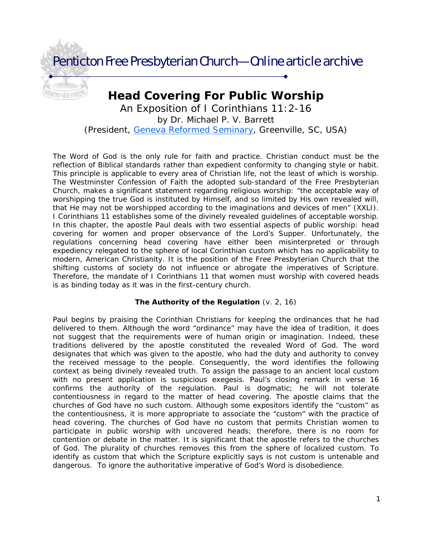**Head Covering For Public Worship** 

**S-SED-VIRE** 

*An Exposition of I Corinthians 11:2-16* by Dr. Michael P. V. Barrett (President, [Geneva Reformed Seminary](http://www.grsonline.org/), Greenville, SC, USA)

The Word of God is the only rule for faith and practice. Christian conduct must be the reflection of Biblical standards rather than expedient conformity to changing style or habit. This principle is applicable to every area of Christian life, not the least of which is worship. The Westminster Confession of Faith the adopted sub-standard of the Free Presbyterian Church, makes a significant statement regarding religious worship: "the acceptable way of worshipping the true God is instituted by Himself, and so limited by His own revealed will, that He may not be worshipped according to the imaginations and devices of men" (XXLI). I Corinthians 11 establishes some of the divinely revealed guidelines of acceptable worship. In this chapter, the apostle Paul deals with two essential aspects of public worship: head covering for women and proper observance of the Lord's Supper. Unfortunately, the regulations concerning head covering have either been misinterpreted or through expediency relegated to the sphere of local Corinthian custom which has no applicability to modern, American Christianity. It is the position of the Free Presbyterian Church that the shifting customs of society do not influence or abrogate the imperatives of Scripture. Therefore, the mandate of I Corinthians 11 that women must worship with covered heads is as binding today as it was in the first-century church.

### *The Authority of the Regulation (v. 2, 16)*

Paul begins by praising the Corinthian Christians for keeping the ordinances that he had delivered to them. Although the word "ordinance" may have the idea of tradition, it does not suggest that the requirements were of human origin or imagination. Indeed, these traditions delivered by the apostle constituted the revealed Word of God. The word designates that which was given to the apostle, who had the duty and authority to convey the received message to the people. Consequently, the word identifies the following context as being divinely revealed truth. To assign the passage to an ancient local custom with no present application is suspicious exegesis. Paul's closing remark in verse 16 confirms the authority of the regulation. Paul is dogmatic; he will not tolerate contentiousness in regard to the matter of head covering. The apostle claims that the churches of God have no such custom. Although some expositors identify the "custom" as the contentiousness, it is more appropriate to associate the "custom" with the practice of head covering. The churches of God have no custom that permits Christian women to participate in public worship with uncovered heads; therefore, there is no room for contention or debate in the matter. It is significant that the apostle refers to the churches of God. The plurality of churches removes this from the sphere of localized custom. To identify as custom that which the Scripture explicitly says is not custom is untenable and dangerous. To ignore the authoritative imperative of God's Word is disobedience.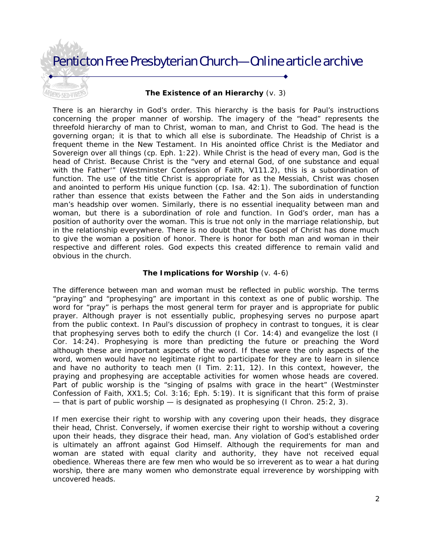SED-VIRENS

*The Existence of an Hierarchy (v. 3)* 

There is an hierarchy in God's order. This hierarchy is the basis for Paul's instructions concerning the proper manner of worship. The imagery of the "head" represents the threefold hierarchy of man to Christ, woman to man, and Christ to God. The head is the governing organ; it is that to which all else is subordinate. The Headship of Christ is a frequent theme in the New Testament. In His anointed office Christ is the Mediator and Sovereign over all things (cp. Eph. 1:22). While Christ is the head of every man, God is the head of Christ. Because Christ is the "very and eternal God, of one substance and equal with the Father'" (Westminster Confession of Faith, V111.2), this is a subordination of function. The use of the title Christ is appropriate for as the Messiah, Christ was chosen and anointed to perform His unique function (cp. Isa. 42:1). The subordination of function rather than essence that exists between the Father and the Son aids in understanding man's headship over women. Similarly, there is no essential inequality between man and woman, but there is a subordination of role and function. In God's order, man has a position of authority over the woman. This is true not only in the marriage relationship, but in the relationship everywhere. There is no doubt that the Gospel of Christ has done much to give the woman a position of honor. There is honor for both man and woman in their respective and different roles. God expects this created difference to remain valid and obvious in the church.

### *The Implications for Worship (v. 4-6)*

The difference between man and woman must be reflected in public worship. The terms "praying" and "prophesying" are important in this context as one of public worship. The word for "pray" is perhaps the most general term for prayer and is appropriate for public prayer. Although prayer is not essentially public, prophesying serves no purpose apart from the public context. In Paul's discussion of prophecy in contrast to tongues, it is clear that prophesying serves both to edify the church (I Cor. 14:4) and evangelize the lost (I Cor. 14:24). Prophesying is more than predicting the future or preaching the Word although these are important aspects of the word. If these were the only aspects of the word, women would have no legitimate right to participate for they are to learn in silence and have no authority to teach men (I Tim. 2:11, 12). In this context, however, the praying and prophesying are acceptable activities for women whose heads are covered. Part of public worship is the "singing of psalms with grace in the heart" (Westminster Confession of Faith, XX1.5; Col. 3:16; Eph. 5:19). It is significant that this form of praise — that is part of public worship — is designated as prophesying (I Chron. 25:2, 3).

If men exercise their right to worship with any covering upon their heads, they disgrace their head, Christ. Conversely, if women exercise their right to worship without a covering upon their heads, they disgrace their head, man. Any violation of God's established order is ultimately an affront against God Himself. Although the requirements for man and woman are stated with equal clarity and authority, they have not received equal obedience. Whereas there are few men who would be so irreverent as to wear a hat during worship, there are many women who demonstrate equal irreverence by worshipping with uncovered heads.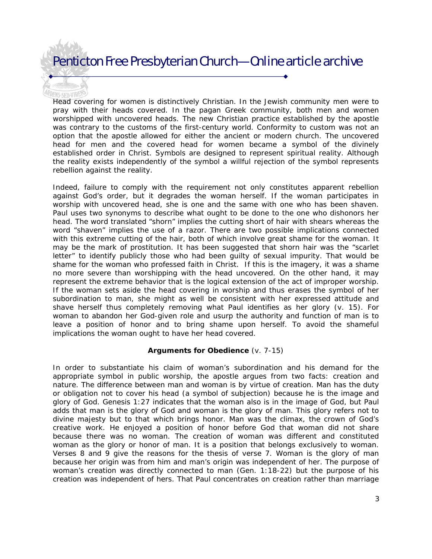### ENS-SED-VIRENS

Head covering for women is distinctively Christian. In the Jewish community men were to pray with their heads covered. In the pagan Greek community, both men and women worshipped with uncovered heads. The new Christian practice established by the apostle was contrary to the customs of the first-century world. Conformity to custom was not an option that the apostle allowed for either the ancient or modern church. The uncovered head for men and the covered head for women became a symbol of the divinely established order in Christ. Symbols are designed to represent spiritual reality. Although the reality exists independently of the symbol a willful rejection of the symbol represents rebellion against the reality.

Indeed, failure to comply with the requirement not only constitutes apparent rebellion against God's order, but it degrades the woman herself. If the woman participates in worship with uncovered head, she is one and the same with one who has been shaven. Paul uses two synonyms to describe what ought to be done to the one who dishonors her head. The word translated "shorn" implies the cutting short of hair with shears whereas the word "shaven" implies the use of a razor. There are two possible implications connected with this extreme cutting of the hair, both of which involve great shame for the woman. It may be the mark of prostitution. It has been suggested that shorn hair was the "scarlet letter" to identify publicly those who had been guilty of sexual impurity. That would be shame for the woman who professed faith in Christ. If this is the imagery, it was a shame no more severe than worshipping with the head uncovered. On the other hand, it may represent the extreme behavior that is the logical extension of the act of improper worship. If the woman sets aside the head covering in worship and thus erases the symbol of her subordination to man, she might as well be consistent with her expressed attitude and shave herself thus completely removing what Paul identifies as her glory (v. 15). For woman to abandon her God-given role and usurp the authority and function of man is to leave a position of honor and to bring shame upon herself. To avoid the shameful implications the woman ought to have her head covered.

#### *Arguments for Obedience (v. 7-15)*

In order to substantiate his claim of woman's subordination and his demand for the appropriate symbol in public worship, the apostle argues from two facts: creation and nature. The difference between man and woman is by virtue of creation. Man has the duty or obligation not to cover his head (a symbol of subjection) because he is the image and glory of God. Genesis 1:27 indicates that the woman also is in the image of God, but Paul adds that man is the glory of God and woman is the glory of man. This glory refers not to divine majesty but to that which brings honor. Man was the climax, the crown of God's creative work. He enjoyed a position of honor before God that woman did not share because there was no woman. The creation of woman was different and constituted woman as the glory or honor of man. It is a position that belongs exclusively to woman. Verses 8 and 9 give the reasons for the thesis of verse 7. Woman is the glory of man because her origin was from him and man's origin was independent of her. The purpose of woman's creation was directly connected to man (Gen. 1:18-22) but the purpose of his creation was independent of hers. That Paul concentrates on creation rather than marriage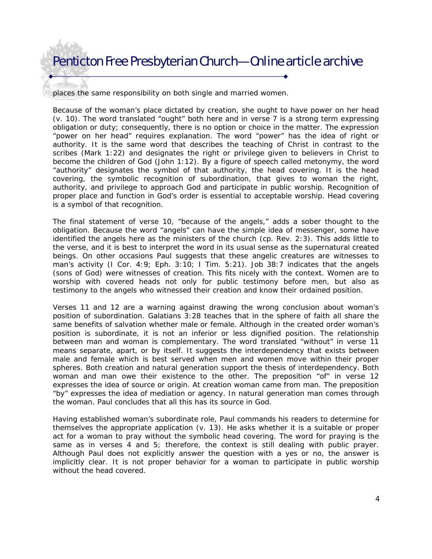places the same responsibility on both single and married women.

Because of the woman's place dictated by creation, she ought to have power on her head (v. 10). The word translated "ought" both here and in verse 7 is a strong term expressing obligation or duty; consequently, there is no option or choice in the matter. The expression "power on her head" requires explanation. The word "power" has the idea of right or authority. It is the same word that describes the teaching of Christ in contrast to the scribes (Mark 1:22) and designates the right or privilege given to believers in Christ to become the children of God (John 1:12). By a figure of speech called metonymy, the word "authority" designates the symbol of that authority, the head covering. It is the head covering, the symbolic recognition of subordination, that gives to woman the right, authority, and privilege to approach God and participate in public worship. Recognition of proper place and function in God's order is essential to acceptable worship. Head covering is a symbol of that recognition.

The final statement of verse 10, "because of the angels," adds a sober thought to the obligation. Because the word "angels" can have the simple idea of messenger, some have identified the angels here as the ministers of the church (cp. Rev. 2:3). This adds little to the verse, and it is best to interpret the word in its usual sense as the supernatural created beings. On other occasions Paul suggests that these angelic creatures are witnesses to man's activity (I Cor. 4:9; Eph. 3:10; I Tim. 5:21). Job 38:7 indicates that the angels (sons of God) were witnesses of creation. This fits nicely with the context. Women are to worship with covered heads not only for public testimony before men, but also as testimony to the angels who witnessed their creation and know their ordained position.

Verses 11 and 12 are a warning against drawing the wrong conclusion about woman's position of subordination. Galatians 3:28 teaches that in the sphere of faith all share the same benefits of salvation whether male or female. Although in the created order woman's position is subordinate, it is not an inferior or less dignified position. The relationship between man and woman is complementary. The word translated "without" in verse 11 means separate, apart, or by itself. It suggests the interdependency that exists between male and female which is best served when men and women move within their proper spheres. Both creation and natural generation support the thesis of interdependency. Both woman and man owe their existence to the other. The preposition "of" in verse 12 expresses the idea of source or origin. At creation woman came from man. The preposition "by" expresses the idea of mediation or agency. In natural generation man comes through the woman. Paul concludes that all this has its source in God.

Having established woman's subordinate role, Paul commands his readers to determine for themselves the appropriate application (v. 13). He asks whether it is a suitable or proper act for a woman to pray without the symbolic head covering. The word for praying is the same as in verses 4 and 5; therefore, the context is still dealing with public prayer. Although Paul does not explicitly answer the question with a yes or no, the answer is implicitly clear. It is not proper behavior for a woman to participate in public worship without the head covered.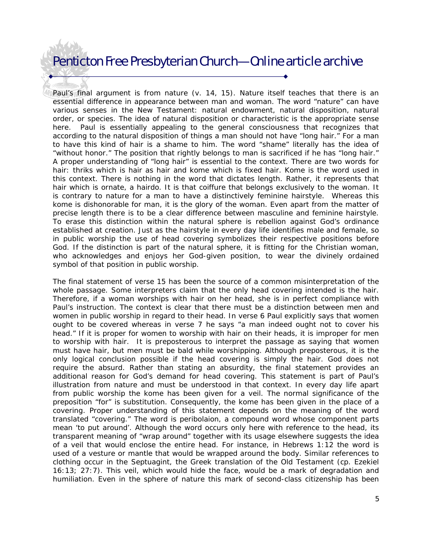Paul's final argument is from nature (v. 14, 15). Nature itself teaches that there is an essential difference in appearance between man and woman. The word "nature" can have various senses in the New Testament: natural endowment, natural disposition, natural order, or species. The idea of natural disposition or characteristic is the appropriate sense here. Paul is essentially appealing to the general consciousness that recognizes that according to the natural disposition of things a man should not have "long hair." For a man to have this kind of hair is a shame to him. The word "shame" literally has the idea of "without honor." The position that rightly belongs to man is sacrificed if he has "long hair." A proper understanding of "long hair" is essential to the context. There are two words for hair: *thriks* which is hair as hair and *kome* which is fixed hair. *Kome* is the word used in this context. There is nothing in the word that dictates length. Rather, it represents that hair which is ornate, a hairdo. It is that coiffure that belongs exclusively to the woman. It is contrary to nature for a man to have a distinctively feminine hairstyle. Whereas this *kome* is dishonorable for man, it is the glory of the woman. Even apart from the matter of precise length there is to be a clear difference between masculine and feminine hairstyle. To erase this distinction within the natural sphere is rebellion against God's ordinance established at creation. Just as the hairstyle in every day life identifies male and female, so in public worship the use of head covering symbolizes their respective positions before God. If the distinction is part of the natural sphere, it is fitting for the Christian woman, who acknowledges and enjoys her God-given position, to wear the divinely ordained symbol of that position in public worship.

The final statement of verse 15 has been the source of a common misinterpretation of the whole passage. Some interpreters claim that the only head covering intended is the hair. Therefore, if a woman worships with hair on her head, she is in perfect compliance with Paul's instruction. The context is clear that there must be a distinction between men and women in public worship in regard to their head. In verse 6 Paul explicitly says that women ought to be covered whereas in verse 7 he says "a man indeed ought not to cover his head." If it is proper for women to worship with hair on their heads, it is improper for men to worship with hair. It is preposterous to interpret the passage as saying that women must have hair, but men must be bald while worshipping. Although preposterous, it is the only logical conclusion possible if the head covering is simply the hair. God does not require the absurd. Rather than stating an absurdity, the final statement provides an additional reason for God's demand for head covering. This statement is part of Paul's illustration from nature and must be understood in that context. In every day life apart from public worship the *kome* has been given for a veil. The normal significance of the preposition "for" is substitution. Consequently, the *kome* has been given in the place of a covering. Proper understanding of this statement depends on the meaning of the word translated "covering." The word is *peribolaion*, a compound word whose component parts mean 'to put around'. Although the word occurs only here with reference to the head, its transparent meaning of "wrap around" together with its usage elsewhere suggests the idea of a veil that would enclose the entire head. For instance, in Hebrews 1:12 the word is used of a vesture or mantle that would be wrapped around the body. Similar references to clothing occur in the Septuagint, the Greek translation of the Old Testament (cp. Ezekiel 16:13; 27:7). This veil, which would hide the face, would be a mark of degradation and humiliation. Even in the sphere of nature this mark of second-class citizenship has been